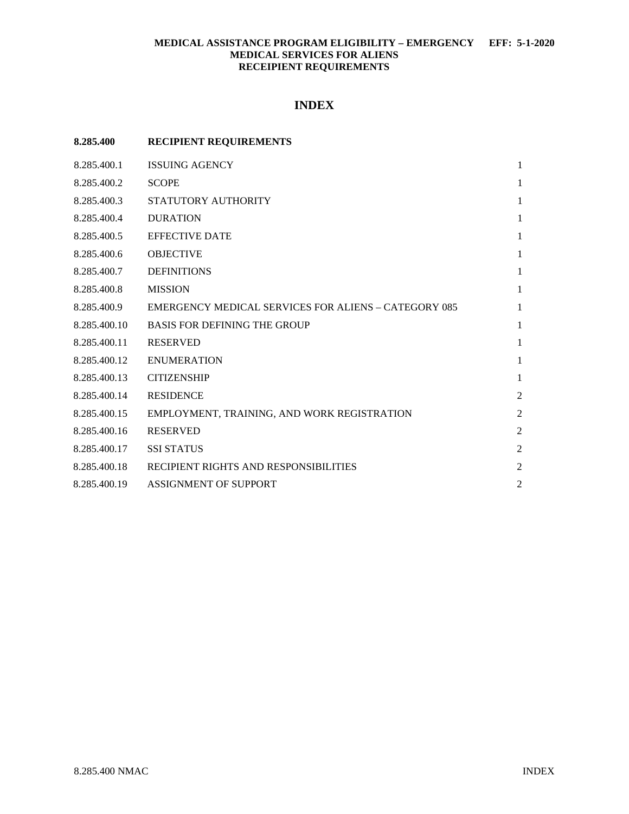# **MEDICAL ASSISTANCE PROGRAM ELIGIBILITY – EMERGENCY EFF: 5-1-2020 MEDICAL SERVICES FOR ALIENS RECEIPIENT REQUIREMENTS**

# **INDEX**

| 8.285.400    | <b>RECIPIENT REQUIREMENTS</b>                               |                |
|--------------|-------------------------------------------------------------|----------------|
| 8.285.400.1  | <b>ISSUING AGENCY</b>                                       | 1              |
| 8.285.400.2  | <b>SCOPE</b>                                                | 1              |
| 8.285.400.3  | STATUTORY AUTHORITY                                         | 1              |
| 8.285.400.4  | <b>DURATION</b>                                             | 1              |
| 8.285.400.5  | <b>EFFECTIVE DATE</b>                                       | 1              |
| 8.285.400.6  | <b>OBJECTIVE</b>                                            | 1              |
| 8.285.400.7  | <b>DEFINITIONS</b>                                          | 1              |
| 8.285.400.8  | <b>MISSION</b>                                              | 1              |
| 8.285.400.9  | <b>EMERGENCY MEDICAL SERVICES FOR ALIENS - CATEGORY 085</b> | 1              |
| 8.285.400.10 | <b>BASIS FOR DEFINING THE GROUP</b>                         | 1              |
| 8.285.400.11 | <b>RESERVED</b>                                             | 1              |
| 8.285.400.12 | <b>ENUMERATION</b>                                          | $\mathbf{1}$   |
| 8.285.400.13 | <b>CITIZENSHIP</b>                                          | 1              |
| 8.285.400.14 | <b>RESIDENCE</b>                                            | $\overline{c}$ |
| 8.285.400.15 | EMPLOYMENT, TRAINING, AND WORK REGISTRATION                 | $\overline{c}$ |
| 8.285.400.16 | <b>RESERVED</b>                                             | $\overline{2}$ |
| 8.285.400.17 | <b>SSI STATUS</b>                                           | $\overline{c}$ |
| 8.285.400.18 | RECIPIENT RIGHTS AND RESPONSIBILITIES                       | $\overline{c}$ |
| 8.285.400.19 | <b>ASSIGNMENT OF SUPPORT</b>                                | $\overline{2}$ |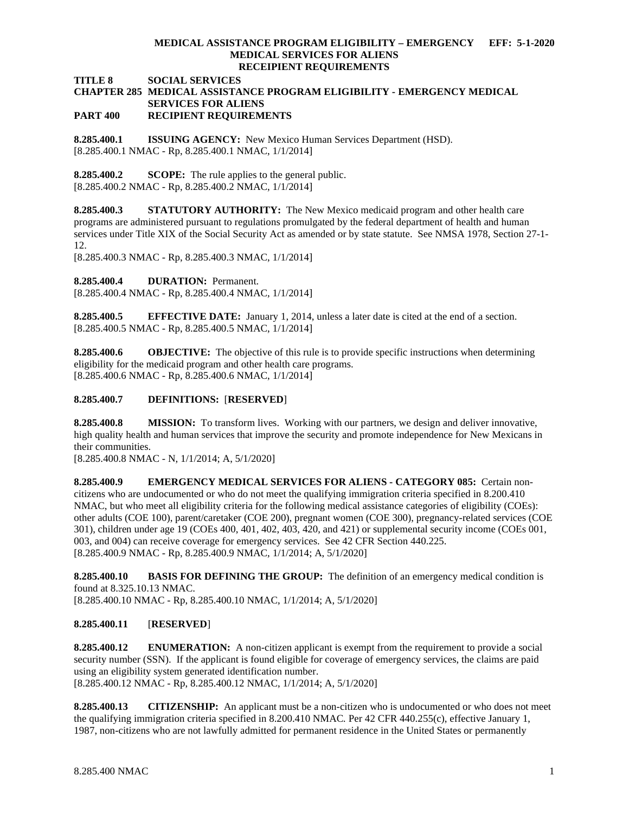#### **MEDICAL ASSISTANCE PROGRAM ELIGIBILITY – EMERGENCY EFF: 5-1-2020 MEDICAL SERVICES FOR ALIENS RECEIPIENT REQUIREMENTS**

**TITLE 8 SOCIAL SERVICES**

#### **CHAPTER 285 MEDICAL ASSISTANCE PROGRAM ELIGIBILITY - EMERGENCY MEDICAL SERVICES FOR ALIENS PART 400 RECIPIENT REQUIREMENTS**

<span id="page-1-0"></span>**8.285.400.1 ISSUING AGENCY:** New Mexico Human Services Department (HSD). [8.285.400.1 NMAC - Rp, 8.285.400.1 NMAC, 1/1/2014]

<span id="page-1-1"></span>**8.285.400.2 SCOPE:** The rule applies to the general public. [8.285.400.2 NMAC - Rp, 8.285.400.2 NMAC, 1/1/2014]

<span id="page-1-2"></span>**8.285.400.3 STATUTORY AUTHORITY:** The New Mexico medicaid program and other health care programs are administered pursuant to regulations promulgated by the federal department of health and human services under Title XIX of the Social Security Act as amended or by state statute. See NMSA 1978, Section 27-1- 12.

[8.285.400.3 NMAC - Rp, 8.285.400.3 NMAC, 1/1/2014]

<span id="page-1-3"></span>**8.285.400.4 DURATION:** Permanent.

[8.285.400.4 NMAC - Rp, 8.285.400.4 NMAC, 1/1/2014]

<span id="page-1-4"></span>**8.285.400.5 EFFECTIVE DATE:** January 1, 2014, unless a later date is cited at the end of a section. [8.285.400.5 NMAC - Rp, 8.285.400.5 NMAC, 1/1/2014]

<span id="page-1-5"></span>**8.285.400.6 OBJECTIVE:** The objective of this rule is to provide specific instructions when determining eligibility for the medicaid program and other health care programs. [8.285.400.6 NMAC - Rp, 8.285.400.6 NMAC, 1/1/2014]

### <span id="page-1-6"></span>**8.285.400.7 DEFINITIONS:** [**RESERVED**]

<span id="page-1-7"></span>**8.285.400.8 MISSION:** To transform lives. Working with our partners, we design and deliver innovative, high quality health and human services that improve the security and promote independence for New Mexicans in their communities.

[8.285.400.8 NMAC - N, 1/1/2014; A, 5/1/2020]

<span id="page-1-8"></span>**8.285.400.9 EMERGENCY MEDICAL SERVICES FOR ALIENS - CATEGORY 085:** Certain noncitizens who are undocumented or who do not meet the qualifying immigration criteria specified in 8.200.410 NMAC, but who meet all eligibility criteria for the following medical assistance categories of eligibility (COEs): other adults (COE 100), parent/caretaker (COE 200), pregnant women (COE 300), pregnancy-related services (COE 301), children under age 19 (COEs 400, 401, 402, 403, 420, and 421) or supplemental security income (COEs 001, 003, and 004) can receive coverage for emergency services. See 42 CFR Section 440.225. [8.285.400.9 NMAC - Rp, 8.285.400.9 NMAC, 1/1/2014; A, 5/1/2020]

<span id="page-1-9"></span>**8.285.400.10 BASIS FOR DEFINING THE GROUP:** The definition of an emergency medical condition is found at 8.325.10.13 NMAC.

[8.285.400.10 NMAC - Rp, 8.285.400.10 NMAC, 1/1/2014; A, 5/1/2020]

## <span id="page-1-10"></span>**8.285.400.11** [**RESERVED**]

<span id="page-1-11"></span>**8.285.400.12 ENUMERATION:** A non-citizen applicant is exempt from the requirement to provide a social security number (SSN). If the applicant is found eligible for coverage of emergency services, the claims are paid using an eligibility system generated identification number. [8.285.400.12 NMAC - Rp, 8.285.400.12 NMAC, 1/1/2014; A, 5/1/2020]

<span id="page-1-12"></span>**8.285.400.13 CITIZENSHIP:** An applicant must be a non-citizen who is undocumented or who does not meet the qualifying immigration criteria specified in 8.200.410 NMAC*.* Per 42 CFR 440.255(c), effective January 1, 1987, non-citizens who are not lawfully admitted for permanent residence in the United States or permanently